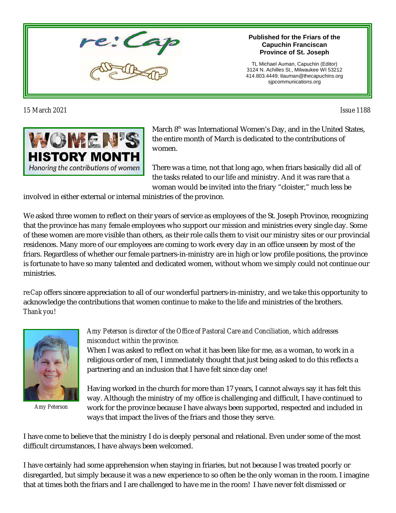

*15 March 2021 Issue 1188* 

#### **Published for the Friars of the Capuchin Franciscan Province of St. Joseph**

TL Michael Auman, Capuchin (Editor) 3124 N. Achilles St., Milwaukee WI 53212 414.803.4449; tlauman@thecapuchins.org sjpcommunications.org



March 8<sup>th</sup> was International Women's Day, and in the United States, the entire month of March is dedicated to the contributions of women.

There was a time, not that long ago, when friars basically did all of the tasks related to our life and ministry. And it was rare that a woman would be invited into the friary "cloister," much less be

involved in either external or internal ministries of the province.

We asked three women to reflect on their years of service as employees of the St. Joseph Province, recognizing that the province has *many* female employees who support our mission and ministries every single day. Some of these women are more visible than others, as their role calls them to visit our ministry sites or our provincial residences. Many more of our employees are coming to work every day in an office unseen by most of the friars. Regardless of whether our female partners-in-ministry are in high or low profile positions, the province is fortunate to have so many talented and dedicated women, without whom we simply could not continue our ministries.

*re:Cap* offers sincere appreciation to all of our wonderful partners-in-ministry, and we take this opportunity to acknowledge the contributions that women continue to make to the life and ministries of the brothers. *Thank you!*



*Amy Peterson*

### *Amy Peterson is director of the Office of Pastoral Care and Conciliation, which addresses misconduct within the province.*

When I was asked to reflect on what it has been like for me, as a woman, to work in a religious order of men, I immediately thought that just being asked to do this reflects a partnering and an inclusion that I have felt since day one!

Having worked in the church for more than 17 years, I cannot always say it has felt this way. Although the ministry of my office is challenging and difficult, I have continued to work for the province because I have always been supported, respected and included in ways that impact the lives of the friars and those they serve.

I have come to believe that the ministry I do is deeply personal and relational. Even under some of the most difficult circumstances, I have always been welcomed.

I have certainly had some apprehension when staying in friaries, but not because I was treated poorly or disregarded, but simply because it was a new experience to so often be the only woman in the room. I imagine that at times both the friars and I are challenged to have me in the room! I have never felt dismissed or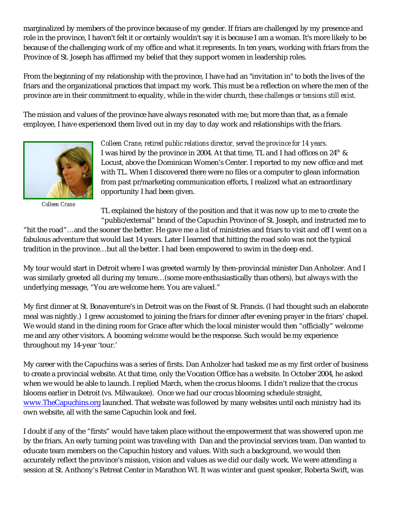marginalized by members of the province because of my gender. If friars are challenged by my presence and role in the province, I haven't felt it or certainly wouldn't say it is because I am a woman. It's more likely to be because of the challenging work of my office and what it represents. In ten years, working with friars from the Province of St. Joseph has affirmed my belief that they support women in leadership roles.

From the beginning of my relationship with the province, I have had an "invitation in" to both the lives of the friars and the organizational practices that impact my work. This must be a reflection on where the men of the province are in their commitment to equality, while in the *wider* church, *these challenges or tensions still exist.*

The mission and values of the province have always resonated with me; but more than that, as a female employee, I have experienced them lived out in my day to day work and relationships with the friars.



*Colleen Crane*

*Colleen Crane, retired public relations director, served the province for 14 years.*  I was hired by the province in 2004. At that time, TL and I had offices on 24th & Locust, above the Dominican Women's Center. I reported to my new office and met with TL. When I discovered there were no files or a computer to glean information from past pr/marketing communication efforts, I realized what an extraordinary opportunity I had been given.

TL explained the history of the position and that it was now up to me to create the "public/external" brand of the Capuchin Province of St. Joseph, and instructed me to

"hit the road"…and the sooner the better. He gave me a list of ministries and friars to visit and off I went on a fabulous adventure that would last 14 years. Later I learned that hitting the road solo was not the typical tradition in the province…but all the better. I had been empowered to swim in the deep end.

My tour would start in Detroit where I was greeted warmly by then-provincial minister Dan Anholzer. And I was similarly greeted all during my tenure…(some more enthusiastically than others), but always with the underlying message, "You are welcome here. You are valued."

My first dinner at St. Bonaventure's in Detroit was on the Feast of St. Francis. (I had thought such an elaborate meal was nightly.) I grew accustomed to joining the friars for dinner after evening prayer in the friars' chapel. We would stand in the dining room for Grace after which the local minister would then "officially" welcome me and any other visitors. A booming *welcome* would be the response. Such would be my experience throughout my 14-year 'tour.'

My career with the Capuchins was a series of firsts. Dan Anholzer had tasked me as my first order of business to create a provincial website. At that time, only the Vocation Office has a website. In October 2004, he asked when we would be able to launch. I replied March, when the crocus blooms. I didn't realize that the crocus blooms earlier in Detroit (vs. Milwaukee). Once we had our crocus blooming schedule straight, [www.TheCapuchins.org](http://www.TheCapuchins.org) launched. That website was followed by many websites until each ministry had its own website, all with the same Capuchin look and feel.

I doubt if any of the "firsts" would have taken place without the empowerment that was showered upon me by the friars. An early turning point was traveling with Dan and the provincial services team. Dan wanted to educate team members on the Capuchin history and values. With such a background, we would then accurately reflect the province's mission, vision and values as we did our daily work. We were attending a session at St. Anthony's Retreat Center in Marathon WI. It was winter and guest speaker, Roberta Swift, was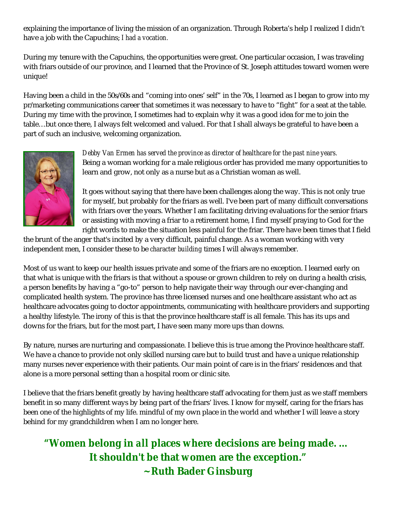explaining the importance of living the mission of an organization. Through Roberta's help I realized I didn't have a job with the Capuchins; *I had a vocation.* 

During my tenure with the Capuchins, the opportunities were great. One particular occasion, I was traveling with friars outside of our province, and I learned that the Province of St. Joseph attitudes toward women were unique!

Having been a child in the 50s/60s and "coming into ones' self" in the 70s, I learned as I began to grow into my pr/marketing communications career that sometimes it was necessary to have to "fight" for a seat at the table. During my time with the province, I sometimes had to explain why it was a good idea for me to join the table…but once there, I always felt welcomed and valued. For that I shall always be grateful to have been a part of such an inclusive, welcoming organization.



*Debby Van Ermen has served the province as director of healthcare for the past nine years.* Being a woman working for a male religious order has provided me many opportunities to learn and grow, not only as a nurse but as a Christian woman as well.

It goes without saying that there have been challenges along the way. This is not only true for myself, but probably for the friars as well. I've been part of many difficult conversations with friars over the years. Whether I am facilitating driving evaluations for the senior friars or assisting with moving a friar to a retirement home, I find myself praying to God for the right words to make the situation less painful for the friar. There have been times that I field

the brunt of the anger that's incited by a very difficult, painful change. As a woman working with very independent men, I consider these to be *character building* times I will always remember.

Most of us want to keep our health issues private and some of the friars are no exception. I learned early on that what is unique with the friars is that without a spouse or grown children to rely on during a health crisis, a person benefits by having a "go-to" person to help navigate their way through our ever-changing and complicated health system. The province has three licensed nurses and one healthcare assistant who act as healthcare advocates going to doctor appointments, communicating with healthcare providers and supporting a healthy lifestyle. The irony of this is that the province healthcare staff is all female. This has its ups and downs for the friars, but for the most part, I have seen many more ups than downs.

By nature, nurses are nurturing and compassionate. I believe this is true among the Province healthcare staff. We have a chance to provide not only skilled nursing care but to build trust and have a unique relationship many nurses never experience with their patients. Our main point of care is in the friars' residences and that alone is a more personal setting than a hospital room or clinic site.

I believe that the friars benefit greatly by having healthcare staff advocating for them just as we staff members benefit in so many different ways by being part of the friars' lives. I know for myself, caring for the friars has been one of the highlights of my life. mindful of my own place in the world and whether I will leave a story behind for my grandchildren when I am no longer here.

**"Women belong in** *all* **places where decisions are being made. … It shouldn't be that women are the exception." ~ Ruth Bader Ginsburg**